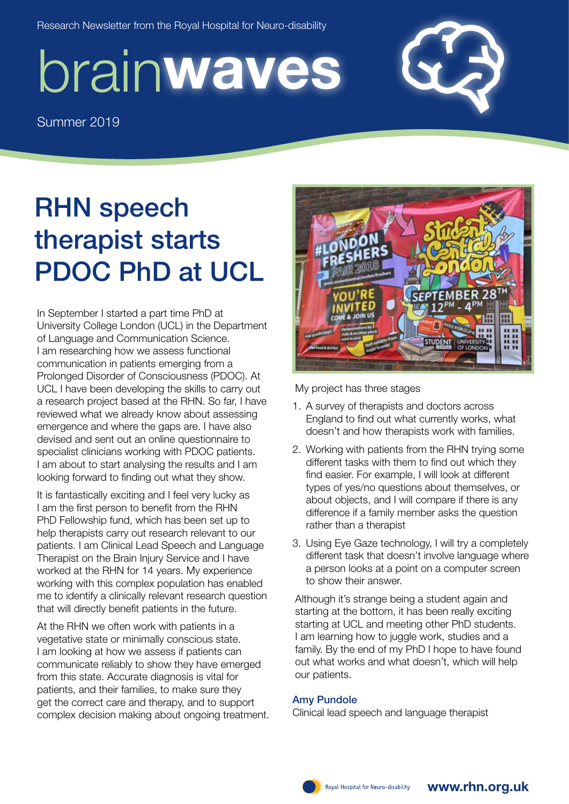Research Newsletter from the Royal Hospital for Neuro-disability

# brain waves

Summer 2019

# RHN speech therapist starts PDOC PhD at UCL

In September I started a part time PhD at University College London (UCL) in the Department of Language and Communication Science. I am researching how we assess functional communication in patients emerging from a Prolonged Disorder of Consciousness (PDOC). At UCL I have been developing the skills to carry out a research project based at the RHN. So far, I have reviewed what we already know about assessing emergence and where the gaps are. I have also devised and sent out an online questionnaire to specialist clinicians working with PDOC patients. I am about to start analysing the results and I am looking forward to finding out what they show.

It is fantastically exciting and I feel very lucky as I am the first person to benefit from the RHN PhD Fellowship fund, which has been set up to help therapists carry out research relevant to our patients. I am Clinical Lead Speech and Language Therapist on the Brain Injury Service and I have worked at the RHN for 14 years. My experience working with this complex population has enabled me to identify a clinically relevant research question that will directly benefit patients in the future.

At the RHN we often work with patients in a vegetative state or minimally conscious state. I am looking at how we assess if patients can communicate reliably to show they have emerged from this state. Accurate diagnosis is vital for patients, and their families, to make sure they get the correct care and therapy, and to support complex decision making about ongoing treatment.



My project has three stages

- 1. A survey of therapists and doctors across England to find out what currently works, what doesn't and how therapists work with families.
- 2. Working with patients from the RHN trying some different tasks with them to find out which they find easier. For example, I will look at different types of yes/no questions about themselves, or about objects, and I will compare if there is any difference if a family member asks the question rather than a therapist
- 3. Using Eye Gaze technology, I will try a completely different task that doesn't involve language where a person looks at a point on a computer screen to show their answer.

Although it's strange being a student again and starting at the bottom, it has been really exciting starting at UCL and meeting other PhD students. I am learning how to juggle work, studies and a family. By the end of my PhD I hope to have found out what works and what doesn't, which will help our patients.

## Amy Pundole

Clinical lead speech and language therapist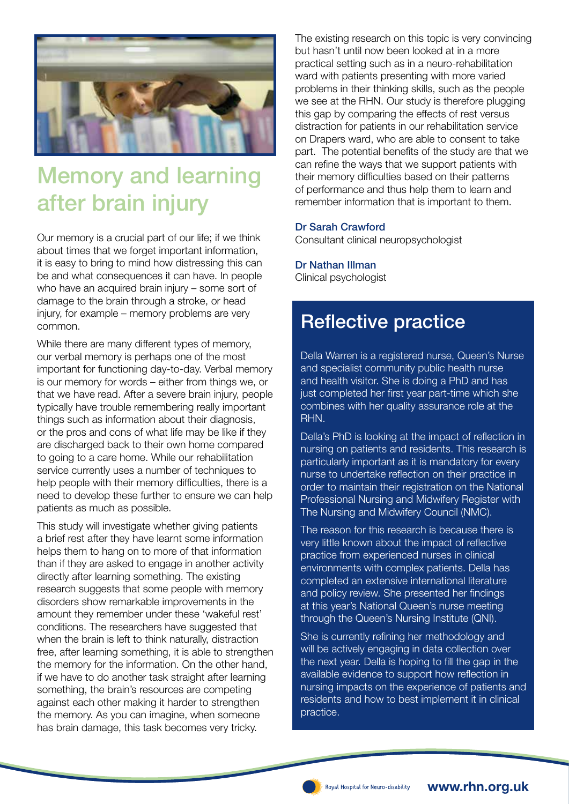

# Memory and learning after brain injury

Our memory is a crucial part of our life; if we think about times that we forget important information, it is easy to bring to mind how distressing this can be and what consequences it can have. In people who have an acquired brain injury – some sort of damage to the brain through a stroke, or head injury, for example – memory problems are very common.

While there are many different types of memory, our verbal memory is perhaps one of the most important for functioning day-to-day. Verbal memory is our memory for words – either from things we, or that we have read. After a severe brain injury, people typically have trouble remembering really important things such as information about their diagnosis, or the pros and cons of what life may be like if they are discharged back to their own home compared to going to a care home. While our rehabilitation service currently uses a number of techniques to help people with their memory difficulties, there is a need to develop these further to ensure we can help patients as much as possible.

This study will investigate whether giving patients a brief rest after they have learnt some information helps them to hang on to more of that information than if they are asked to engage in another activity directly after learning something. The existing research suggests that some people with memory disorders show remarkable improvements in the amount they remember under these 'wakeful rest' conditions. The researchers have suggested that when the brain is left to think naturally, distraction free, after learning something, it is able to strengthen the memory for the information. On the other hand, if we have to do another task straight after learning something, the brain's resources are competing against each other making it harder to strengthen the memory. As you can imagine, when someone has brain damage, this task becomes very tricky.

The existing research on this topic is very convincing but hasn't until now been looked at in a more practical setting such as in a neuro-rehabilitation ward with patients presenting with more varied problems in their thinking skills, such as the people we see at the RHN. Our study is therefore plugging this gap by comparing the effects of rest versus distraction for patients in our rehabilitation service on Drapers ward, who are able to consent to take part. The potential benefits of the study are that we can refine the ways that we support patients with their memory difficulties based on their patterns of performance and thus help them to learn and remember information that is important to them.

### Dr Sarah Crawford

Consultant clinical neuropsychologist

## Dr Nathan Illman

Clinical psychologist

# Reflective practice

Della Warren is a registered nurse, Queen's Nurse and specialist community public health nurse and health visitor. She is doing a PhD and has just completed her first year part-time which she combines with her quality assurance role at the RHN.

Della's PhD is looking at the impact of reflection in nursing on patients and residents. This research is particularly important as it is mandatory for every nurse to undertake reflection on their practice in order to maintain their registration on the National Professional Nursing and Midwifery Register with The Nursing and Midwifery Council (NMC).

The reason for this research is because there is very little known about the impact of reflective practice from experienced nurses in clinical environments with complex patients. Della has completed an extensive international literature and policy review. She presented her findings at this year's National Queen's nurse meeting through the Queen's Nursing Institute (QNI).

She is currently refining her methodology and will be actively engaging in data collection over the next year. Della is hoping to fill the gap in the available evidence to support how reflection in nursing impacts on the experience of patients and residents and how to best implement it in clinical practice.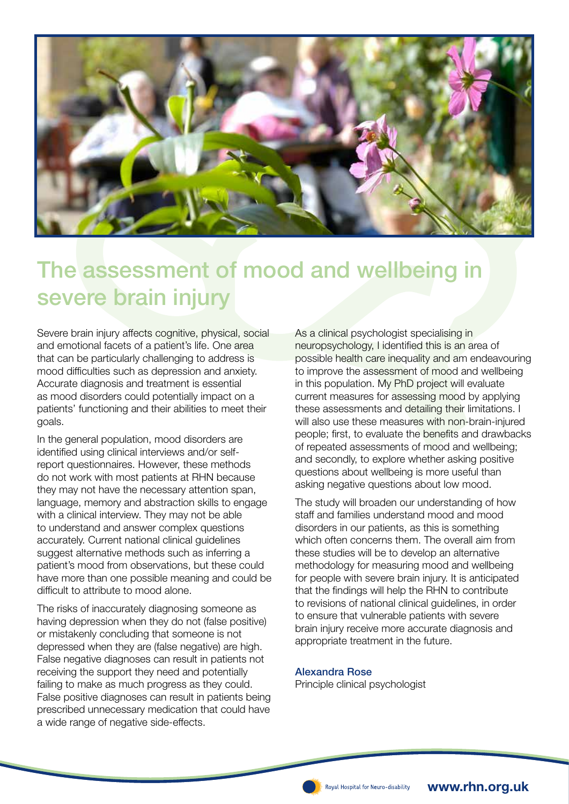

# The assessment of mood and wellbeing in severe brain injury

Severe brain injury affects cognitive, physical, social and emotional facets of a patient's life. One area that can be particularly challenging to address is mood difficulties such as depression and anxiety. Accurate diagnosis and treatment is essential as mood disorders could potentially impact on a patients' functioning and their abilities to meet their goals.

In the general population, mood disorders are identified using clinical interviews and/or selfreport questionnaires. However, these methods do not work with most patients at RHN because they may not have the necessary attention span, language, memory and abstraction skills to engage with a clinical interview. They may not be able to understand and answer complex questions accurately. Current national clinical guidelines suggest alternative methods such as inferring a patient's mood from observations, but these could have more than one possible meaning and could be difficult to attribute to mood alone.

The risks of inaccurately diagnosing someone as having depression when they do not (false positive) or mistakenly concluding that someone is not depressed when they are (false negative) are high. False negative diagnoses can result in patients not receiving the support they need and potentially failing to make as much progress as they could. False positive diagnoses can result in patients being prescribed unnecessary medication that could have a wide range of negative side-effects.

As a clinical psychologist specialising in neuropsychology, I identified this is an area of possible health care inequality and am endeavouring to improve the assessment of mood and wellbeing in this population. My PhD project will evaluate current measures for assessing mood by applying these assessments and detailing their limitations. I will also use these measures with non-brain-injured people; first, to evaluate the benefits and drawbacks of repeated assessments of mood and wellbeing; and secondly, to explore whether asking positive questions about wellbeing is more useful than asking negative questions about low mood.

The study will broaden our understanding of how staff and families understand mood and mood disorders in our patients, as this is something which often concerns them. The overall aim from these studies will be to develop an alternative methodology for measuring mood and wellbeing for people with severe brain injury. It is anticipated that the findings will help the RHN to contribute to revisions of national clinical guidelines, in order to ensure that vulnerable patients with severe brain injury receive more accurate diagnosis and appropriate treatment in the future.

#### Alexandra Rose

Principle clinical psychologist